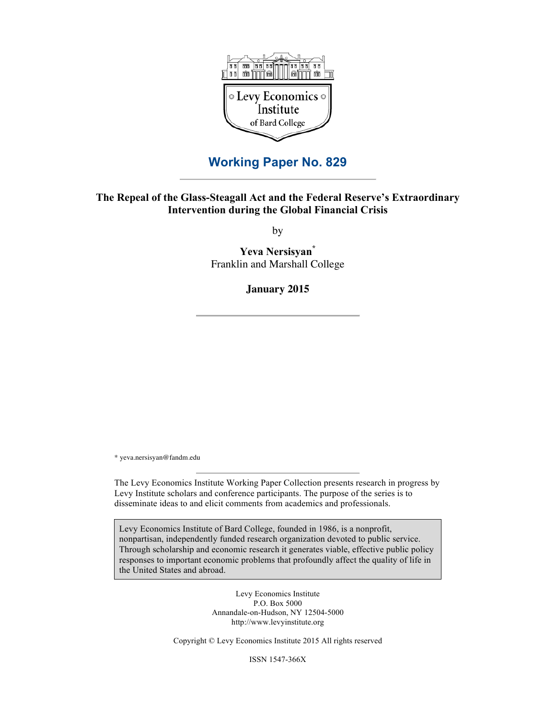

# **Working Paper No. 829**

## **The Repeal of the Glass-Steagall Act and the Federal Reserve's Extraordinary Intervention during the Global Financial Crisis**

by

**Yeva Nersisyan\*** Franklin and Marshall College

**January 2015**

\* yeva.nersisyan@fandm.edu

The Levy Economics Institute Working Paper Collection presents research in progress by Levy Institute scholars and conference participants. The purpose of the series is to disseminate ideas to and elicit comments from academics and professionals.

Levy Economics Institute of Bard College, founded in 1986, is a nonprofit, nonpartisan, independently funded research organization devoted to public service. Through scholarship and economic research it generates viable, effective public policy responses to important economic problems that profoundly affect the quality of life in the United States and abroad.

> Levy Economics Institute P.O. Box 5000 Annandale-on-Hudson, NY 12504-5000 http://www.levyinstitute.org

Copyright © Levy Economics Institute 2015 All rights reserved

ISSN 1547-366X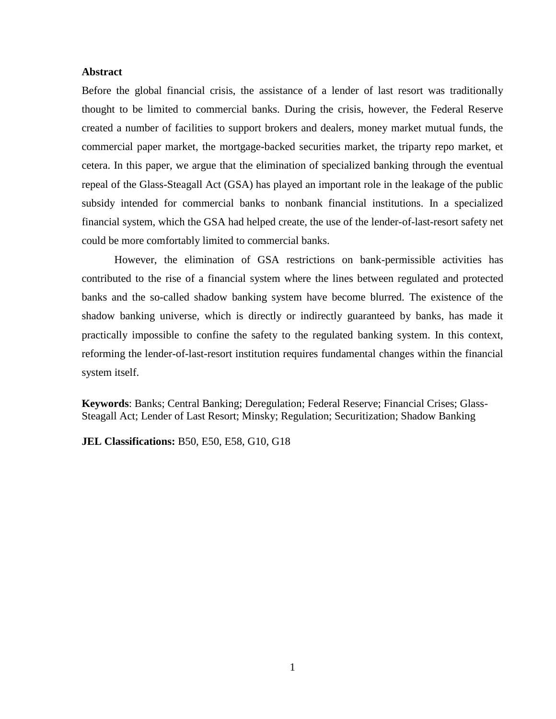#### **Abstract**

Before the global financial crisis, the assistance of a lender of last resort was traditionally thought to be limited to commercial banks. During the crisis, however, the Federal Reserve created a number of facilities to support brokers and dealers, money market mutual funds, the commercial paper market, the mortgage-backed securities market, the triparty repo market, et cetera. In this paper, we argue that the elimination of specialized banking through the eventual repeal of the Glass-Steagall Act (GSA) has played an important role in the leakage of the public subsidy intended for commercial banks to nonbank financial institutions. In a specialized financial system, which the GSA had helped create, the use of the lender-of-last-resort safety net could be more comfortably limited to commercial banks.

However, the elimination of GSA restrictions on bank-permissible activities has contributed to the rise of a financial system where the lines between regulated and protected banks and the so-called shadow banking system have become blurred. The existence of the shadow banking universe, which is directly or indirectly guaranteed by banks, has made it practically impossible to confine the safety to the regulated banking system. In this context, reforming the lender-of-last-resort institution requires fundamental changes within the financial system itself.

**Keywords**: Banks; Central Banking; Deregulation; Federal Reserve; Financial Crises; Glass-Steagall Act; Lender of Last Resort; Minsky; Regulation; Securitization; Shadow Banking

**JEL Classifications:** B50, E50, E58, G10, G18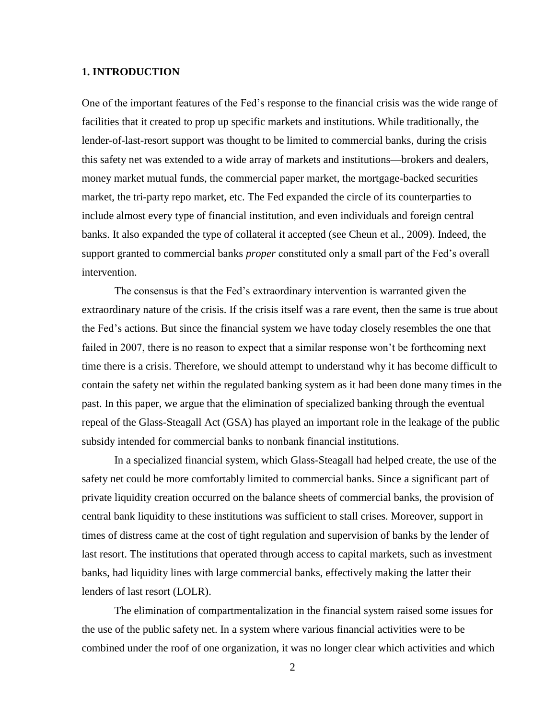#### **1. INTRODUCTION**

One of the important features of the Fed's response to the financial crisis was the wide range of facilities that it created to prop up specific markets and institutions. While traditionally, the lender-of-last-resort support was thought to be limited to commercial banks, during the crisis this safety net was extended to a wide array of markets and institutions—brokers and dealers, money market mutual funds, the commercial paper market, the mortgage-backed securities market, the tri-party repo market, etc. The Fed expanded the circle of its counterparties to include almost every type of financial institution, and even individuals and foreign central banks. It also expanded the type of collateral it accepted (see Cheun et al., 2009). Indeed, the support granted to commercial banks *proper* constituted only a small part of the Fed's overall intervention.

The consensus is that the Fed's extraordinary intervention is warranted given the extraordinary nature of the crisis. If the crisis itself was a rare event, then the same is true about the Fed's actions. But since the financial system we have today closely resembles the one that failed in 2007, there is no reason to expect that a similar response won't be forthcoming next time there is a crisis. Therefore, we should attempt to understand why it has become difficult to contain the safety net within the regulated banking system as it had been done many times in the past. In this paper, we argue that the elimination of specialized banking through the eventual repeal of the Glass-Steagall Act (GSA) has played an important role in the leakage of the public subsidy intended for commercial banks to nonbank financial institutions.

In a specialized financial system, which Glass-Steagall had helped create, the use of the safety net could be more comfortably limited to commercial banks. Since a significant part of private liquidity creation occurred on the balance sheets of commercial banks, the provision of central bank liquidity to these institutions was sufficient to stall crises. Moreover, support in times of distress came at the cost of tight regulation and supervision of banks by the lender of last resort. The institutions that operated through access to capital markets, such as investment banks, had liquidity lines with large commercial banks, effectively making the latter their lenders of last resort (LOLR).

The elimination of compartmentalization in the financial system raised some issues for the use of the public safety net. In a system where various financial activities were to be combined under the roof of one organization, it was no longer clear which activities and which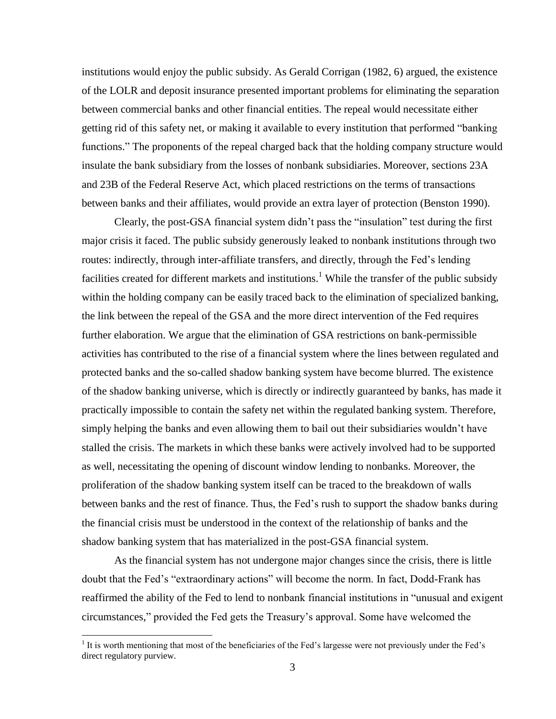institutions would enjoy the public subsidy. As Gerald Corrigan (1982, 6) argued, the existence of the LOLR and deposit insurance presented important problems for eliminating the separation between commercial banks and other financial entities. The repeal would necessitate either getting rid of this safety net, or making it available to every institution that performed "banking functions." The proponents of the repeal charged back that the holding company structure would insulate the bank subsidiary from the losses of nonbank subsidiaries. Moreover, sections 23A and 23B of the Federal Reserve Act, which placed restrictions on the terms of transactions between banks and their affiliates, would provide an extra layer of protection (Benston 1990).

Clearly, the post-GSA financial system didn't pass the "insulation" test during the first major crisis it faced. The public subsidy generously leaked to nonbank institutions through two routes: indirectly, through inter-affiliate transfers, and directly, through the Fed's lending facilities created for different markets and institutions.<sup>1</sup> While the transfer of the public subsidy within the holding company can be easily traced back to the elimination of specialized banking, the link between the repeal of the GSA and the more direct intervention of the Fed requires further elaboration. We argue that the elimination of GSA restrictions on bank-permissible activities has contributed to the rise of a financial system where the lines between regulated and protected banks and the so-called shadow banking system have become blurred. The existence of the shadow banking universe, which is directly or indirectly guaranteed by banks, has made it practically impossible to contain the safety net within the regulated banking system. Therefore, simply helping the banks and even allowing them to bail out their subsidiaries wouldn't have stalled the crisis. The markets in which these banks were actively involved had to be supported as well, necessitating the opening of discount window lending to nonbanks. Moreover, the proliferation of the shadow banking system itself can be traced to the breakdown of walls between banks and the rest of finance. Thus, the Fed's rush to support the shadow banks during the financial crisis must be understood in the context of the relationship of banks and the shadow banking system that has materialized in the post-GSA financial system.

As the financial system has not undergone major changes since the crisis, there is little doubt that the Fed's "extraordinary actions" will become the norm. In fact, Dodd-Frank has reaffirmed the ability of the Fed to lend to nonbank financial institutions in "unusual and exigent circumstances," provided the Fed gets the Treasury's approval. Some have welcomed the

<sup>&</sup>lt;sup>1</sup> It is worth mentioning that most of the beneficiaries of the Fed's largesse were not previously under the Fed's direct regulatory purview.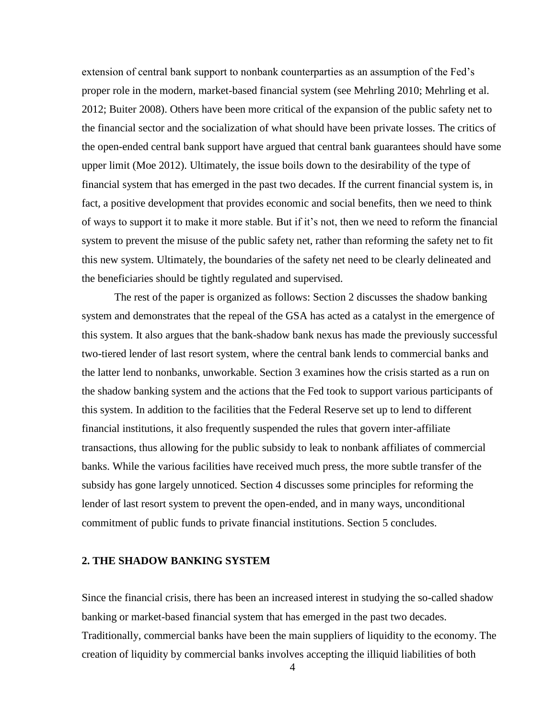extension of central bank support to nonbank counterparties as an assumption of the Fed's proper role in the modern, market-based financial system (see Mehrling 2010; Mehrling et al. 2012; Buiter 2008). Others have been more critical of the expansion of the public safety net to the financial sector and the socialization of what should have been private losses. The critics of the open-ended central bank support have argued that central bank guarantees should have some upper limit (Moe 2012). Ultimately, the issue boils down to the desirability of the type of financial system that has emerged in the past two decades. If the current financial system is, in fact, a positive development that provides economic and social benefits, then we need to think of ways to support it to make it more stable. But if it's not, then we need to reform the financial system to prevent the misuse of the public safety net, rather than reforming the safety net to fit this new system. Ultimately, the boundaries of the safety net need to be clearly delineated and the beneficiaries should be tightly regulated and supervised.

The rest of the paper is organized as follows: Section 2 discusses the shadow banking system and demonstrates that the repeal of the GSA has acted as a catalyst in the emergence of this system. It also argues that the bank-shadow bank nexus has made the previously successful two-tiered lender of last resort system, where the central bank lends to commercial banks and the latter lend to nonbanks, unworkable. Section 3 examines how the crisis started as a run on the shadow banking system and the actions that the Fed took to support various participants of this system. In addition to the facilities that the Federal Reserve set up to lend to different financial institutions, it also frequently suspended the rules that govern inter-affiliate transactions, thus allowing for the public subsidy to leak to nonbank affiliates of commercial banks. While the various facilities have received much press, the more subtle transfer of the subsidy has gone largely unnoticed. Section 4 discusses some principles for reforming the lender of last resort system to prevent the open-ended, and in many ways, unconditional commitment of public funds to private financial institutions. Section 5 concludes.

#### **2. THE SHADOW BANKING SYSTEM**

Since the financial crisis, there has been an increased interest in studying the so-called shadow banking or market-based financial system that has emerged in the past two decades. Traditionally, commercial banks have been the main suppliers of liquidity to the economy. The creation of liquidity by commercial banks involves accepting the illiquid liabilities of both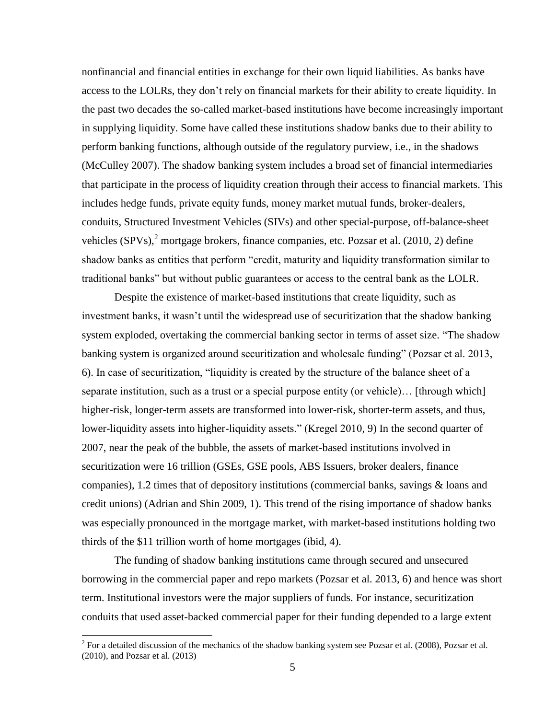nonfinancial and financial entities in exchange for their own liquid liabilities. As banks have access to the LOLRs, they don't rely on financial markets for their ability to create liquidity. In the past two decades the so-called market-based institutions have become increasingly important in supplying liquidity. Some have called these institutions shadow banks due to their ability to perform banking functions, although outside of the regulatory purview, i.e., in the shadows (McCulley 2007). The shadow banking system includes a broad set of financial intermediaries that participate in the process of liquidity creation through their access to financial markets. This includes hedge funds, private equity funds, money market mutual funds, broker-dealers, conduits, Structured Investment Vehicles (SIVs) and other special-purpose, off-balance-sheet vehicles (SPVs),<sup>2</sup> mortgage brokers, finance companies, etc. Pozsar et al. (2010, 2) define shadow banks as entities that perform "credit, maturity and liquidity transformation similar to traditional banks" but without public guarantees or access to the central bank as the LOLR.

Despite the existence of market-based institutions that create liquidity, such as investment banks, it wasn't until the widespread use of securitization that the shadow banking system exploded, overtaking the commercial banking sector in terms of asset size. "The shadow banking system is organized around securitization and wholesale funding" (Pozsar et al. 2013, 6). In case of securitization, "liquidity is created by the structure of the balance sheet of a separate institution, such as a trust or a special purpose entity (or vehicle)... [through which] higher-risk, longer-term assets are transformed into lower-risk, shorter-term assets, and thus, lower-liquidity assets into higher-liquidity assets." (Kregel 2010, 9) In the second quarter of 2007, near the peak of the bubble, the assets of market-based institutions involved in securitization were 16 trillion (GSEs, GSE pools, ABS Issuers, broker dealers, finance companies), 1.2 times that of depository institutions (commercial banks, savings & loans and credit unions) (Adrian and Shin 2009, 1). This trend of the rising importance of shadow banks was especially pronounced in the mortgage market, with market-based institutions holding two thirds of the \$11 trillion worth of home mortgages (ibid, 4).

The funding of shadow banking institutions came through secured and unsecured borrowing in the commercial paper and repo markets (Pozsar et al. 2013, 6) and hence was short term. Institutional investors were the major suppliers of funds. For instance, securitization conduits that used asset-backed commercial paper for their funding depended to a large extent

<sup>&</sup>lt;sup>2</sup> For a detailed discussion of the mechanics of the shadow banking system see Pozsar et al. (2008), Pozsar et al. (2010), and Pozsar et al. (2013)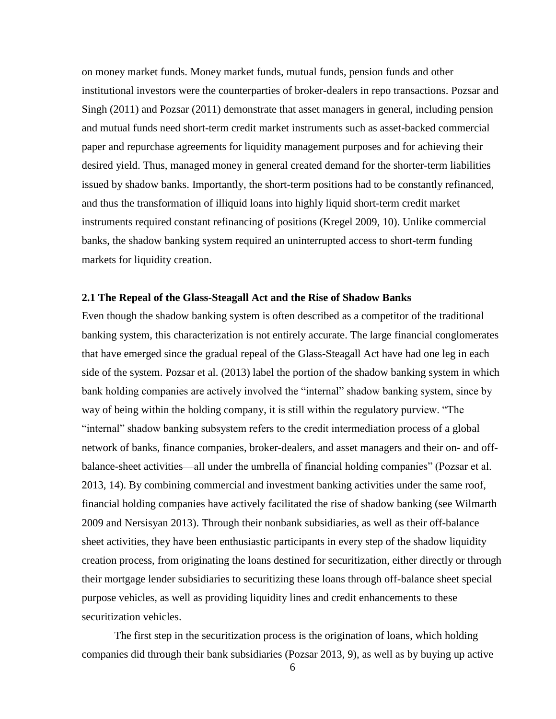on money market funds. Money market funds, mutual funds, pension funds and other institutional investors were the counterparties of broker-dealers in repo transactions. Pozsar and Singh (2011) and Pozsar (2011) demonstrate that asset managers in general, including pension and mutual funds need short-term credit market instruments such as asset-backed commercial paper and repurchase agreements for liquidity management purposes and for achieving their desired yield. Thus, managed money in general created demand for the shorter-term liabilities issued by shadow banks. Importantly, the short-term positions had to be constantly refinanced, and thus the transformation of illiquid loans into highly liquid short-term credit market instruments required constant refinancing of positions (Kregel 2009, 10). Unlike commercial banks, the shadow banking system required an uninterrupted access to short-term funding markets for liquidity creation.

#### **2.1 The Repeal of the Glass-Steagall Act and the Rise of Shadow Banks**

Even though the shadow banking system is often described as a competitor of the traditional banking system, this characterization is not entirely accurate. The large financial conglomerates that have emerged since the gradual repeal of the Glass-Steagall Act have had one leg in each side of the system. Pozsar et al. (2013) label the portion of the shadow banking system in which bank holding companies are actively involved the "internal" shadow banking system, since by way of being within the holding company, it is still within the regulatory purview. "The "internal" shadow banking subsystem refers to the credit intermediation process of a global network of banks, finance companies, broker-dealers, and asset managers and their on- and offbalance-sheet activities—all under the umbrella of financial holding companies" (Pozsar et al. 2013, 14). By combining commercial and investment banking activities under the same roof, financial holding companies have actively facilitated the rise of shadow banking (see Wilmarth 2009 and Nersisyan 2013). Through their nonbank subsidiaries, as well as their off-balance sheet activities, they have been enthusiastic participants in every step of the shadow liquidity creation process, from originating the loans destined for securitization, either directly or through their mortgage lender subsidiaries to securitizing these loans through off-balance sheet special purpose vehicles, as well as providing liquidity lines and credit enhancements to these securitization vehicles.

The first step in the securitization process is the origination of loans, which holding companies did through their bank subsidiaries (Pozsar 2013, 9), as well as by buying up active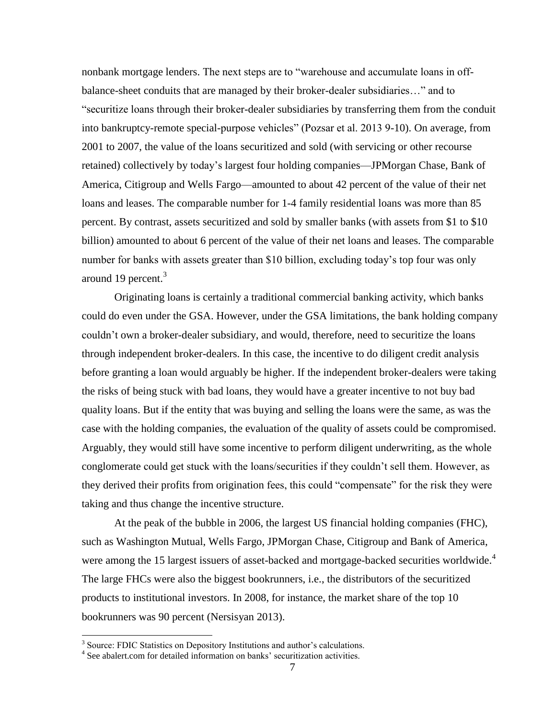nonbank mortgage lenders. The next steps are to "warehouse and accumulate loans in offbalance-sheet conduits that are managed by their broker-dealer subsidiaries…" and to "securitize loans through their broker-dealer subsidiaries by transferring them from the conduit into bankruptcy-remote special-purpose vehicles" (Pozsar et al. 2013 9-10). On average, from 2001 to 2007, the value of the loans securitized and sold (with servicing or other recourse retained) collectively by today's largest four holding companies—JPMorgan Chase, Bank of America, Citigroup and Wells Fargo—amounted to about 42 percent of the value of their net loans and leases. The comparable number for 1-4 family residential loans was more than 85 percent. By contrast, assets securitized and sold by smaller banks (with assets from \$1 to \$10 billion) amounted to about 6 percent of the value of their net loans and leases. The comparable number for banks with assets greater than \$10 billion, excluding today's top four was only around 19 percent.<sup>3</sup>

Originating loans is certainly a traditional commercial banking activity, which banks could do even under the GSA. However, under the GSA limitations, the bank holding company couldn't own a broker-dealer subsidiary, and would, therefore, need to securitize the loans through independent broker-dealers. In this case, the incentive to do diligent credit analysis before granting a loan would arguably be higher. If the independent broker-dealers were taking the risks of being stuck with bad loans, they would have a greater incentive to not buy bad quality loans. But if the entity that was buying and selling the loans were the same, as was the case with the holding companies, the evaluation of the quality of assets could be compromised. Arguably, they would still have some incentive to perform diligent underwriting, as the whole conglomerate could get stuck with the loans/securities if they couldn't sell them. However, as they derived their profits from origination fees, this could "compensate" for the risk they were taking and thus change the incentive structure.

At the peak of the bubble in 2006, the largest US financial holding companies (FHC), such as Washington Mutual, Wells Fargo, JPMorgan Chase, Citigroup and Bank of America, were among the 15 largest issuers of asset-backed and mortgage-backed securities worldwide.<sup>4</sup> The large FHCs were also the biggest bookrunners, i.e., the distributors of the securitized products to institutional investors. In 2008, for instance, the market share of the top 10 bookrunners was 90 percent (Nersisyan 2013).

<sup>&</sup>lt;sup>3</sup> Source: FDIC Statistics on Depository Institutions and author's calculations.

<sup>4</sup> See abalert.com for detailed information on banks' securitization activities.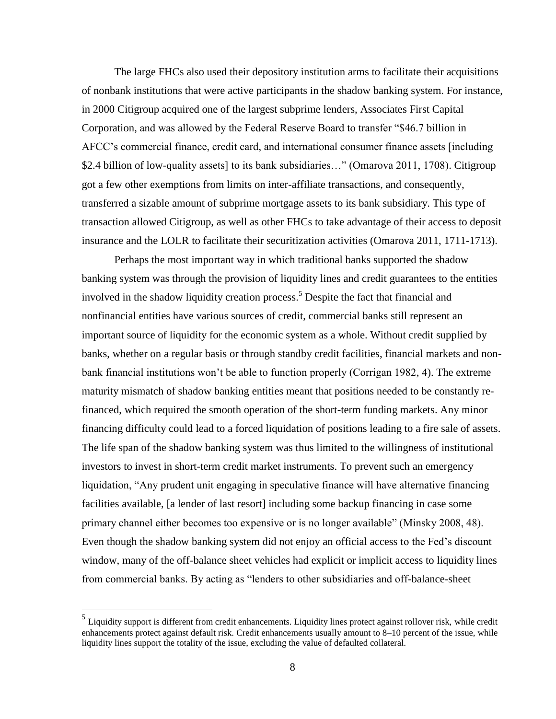The large FHCs also used their depository institution arms to facilitate their acquisitions of nonbank institutions that were active participants in the shadow banking system. For instance, in 2000 Citigroup acquired one of the largest subprime lenders, Associates First Capital Corporation, and was allowed by the Federal Reserve Board to transfer "\$46.7 billion in AFCC's commercial finance, credit card, and international consumer finance assets [including \$2.4 billion of low-quality assets] to its bank subsidiaries…" (Omarova 2011, 1708). Citigroup got a few other exemptions from limits on inter-affiliate transactions, and consequently, transferred a sizable amount of subprime mortgage assets to its bank subsidiary. This type of transaction allowed Citigroup, as well as other FHCs to take advantage of their access to deposit insurance and the LOLR to facilitate their securitization activities (Omarova 2011, 1711-1713).

Perhaps the most important way in which traditional banks supported the shadow banking system was through the provision of liquidity lines and credit guarantees to the entities involved in the shadow liquidity creation process. <sup>5</sup> Despite the fact that financial and nonfinancial entities have various sources of credit, commercial banks still represent an important source of liquidity for the economic system as a whole. Without credit supplied by banks, whether on a regular basis or through standby credit facilities, financial markets and nonbank financial institutions won't be able to function properly (Corrigan 1982, 4). The extreme maturity mismatch of shadow banking entities meant that positions needed to be constantly refinanced, which required the smooth operation of the short-term funding markets. Any minor financing difficulty could lead to a forced liquidation of positions leading to a fire sale of assets. The life span of the shadow banking system was thus limited to the willingness of institutional investors to invest in short-term credit market instruments. To prevent such an emergency liquidation, "Any prudent unit engaging in speculative finance will have alternative financing facilities available, [a lender of last resort] including some backup financing in case some primary channel either becomes too expensive or is no longer available" (Minsky 2008, 48). Even though the shadow banking system did not enjoy an official access to the Fed's discount window, many of the off-balance sheet vehicles had explicit or implicit access to liquidity lines from commercial banks. By acting as "lenders to other subsidiaries and off-balance-sheet

<sup>&</sup>lt;sup>5</sup><br>Liquidity support is different from credit enhancements. Liquidity lines protect against rollover risk, while credit enhancements protect against default risk. Credit enhancements usually amount to 8–10 percent of the issue, while liquidity lines support the totality of the issue, excluding the value of defaulted collateral.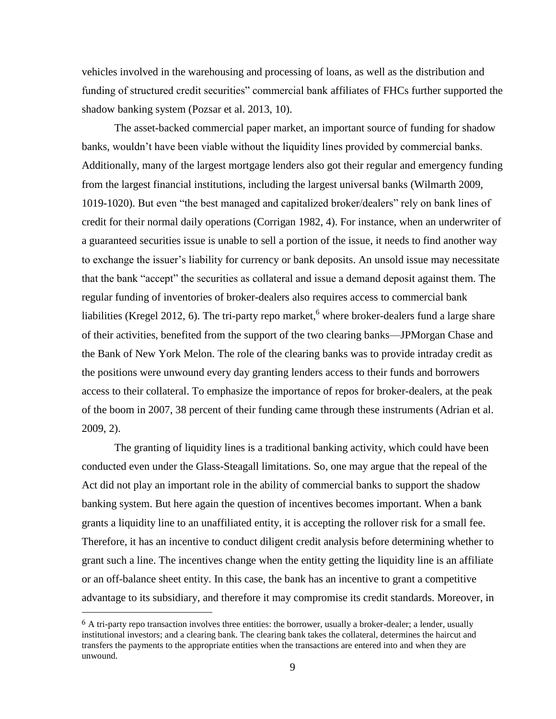vehicles involved in the warehousing and processing of loans, as well as the distribution and funding of structured credit securities" commercial bank affiliates of FHCs further supported the shadow banking system (Pozsar et al. 2013, 10).

The asset-backed commercial paper market, an important source of funding for shadow banks, wouldn't have been viable without the liquidity lines provided by commercial banks. Additionally, many of the largest mortgage lenders also got their regular and emergency funding from the largest financial institutions, including the largest universal banks (Wilmarth 2009, 1019-1020). But even "the best managed and capitalized broker/dealers" rely on bank lines of credit for their normal daily operations (Corrigan 1982, 4). For instance, when an underwriter of a guaranteed securities issue is unable to sell a portion of the issue, it needs to find another way to exchange the issuer's liability for currency or bank deposits. An unsold issue may necessitate that the bank "accept" the securities as collateral and issue a demand deposit against them. The regular funding of inventories of broker-dealers also requires access to commercial bank liabilities (Kregel 2012, 6). The tri-party repo market, where broker-dealers fund a large share of their activities, benefited from the support of the two clearing banks—JPMorgan Chase and the Bank of New York Melon. The role of the clearing banks was to provide intraday credit as the positions were unwound every day granting lenders access to their funds and borrowers access to their collateral. To emphasize the importance of repos for broker-dealers, at the peak of the boom in 2007, 38 percent of their funding came through these instruments (Adrian et al. 2009, 2).

The granting of liquidity lines is a traditional banking activity, which could have been conducted even under the Glass-Steagall limitations. So, one may argue that the repeal of the Act did not play an important role in the ability of commercial banks to support the shadow banking system. But here again the question of incentives becomes important. When a bank grants a liquidity line to an unaffiliated entity, it is accepting the rollover risk for a small fee. Therefore, it has an incentive to conduct diligent credit analysis before determining whether to grant such a line. The incentives change when the entity getting the liquidity line is an affiliate or an off-balance sheet entity. In this case, the bank has an incentive to grant a competitive advantage to its subsidiary, and therefore it may compromise its credit standards. Moreover, in

 $6$  A tri-party repo transaction involves three entities: the borrower, usually a broker-dealer; a lender, usually institutional investors; and a clearing bank. The clearing bank takes the collateral, determines the haircut and transfers the payments to the appropriate entities when the transactions are entered into and when they are unwound.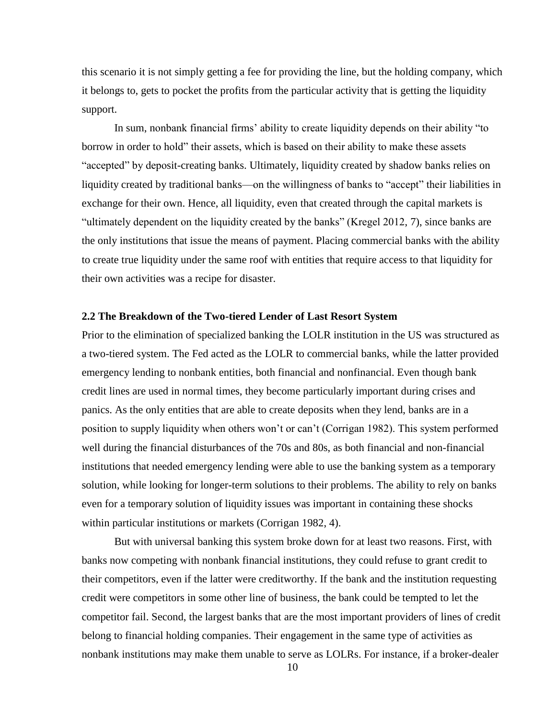this scenario it is not simply getting a fee for providing the line, but the holding company, which it belongs to, gets to pocket the profits from the particular activity that is getting the liquidity support.

In sum, nonbank financial firms' ability to create liquidity depends on their ability "to borrow in order to hold" their assets, which is based on their ability to make these assets "accepted" by deposit-creating banks. Ultimately, liquidity created by shadow banks relies on liquidity created by traditional banks—on the willingness of banks to "accept" their liabilities in exchange for their own. Hence, all liquidity, even that created through the capital markets is "ultimately dependent on the liquidity created by the banks" (Kregel 2012, 7), since banks are the only institutions that issue the means of payment. Placing commercial banks with the ability to create true liquidity under the same roof with entities that require access to that liquidity for their own activities was a recipe for disaster.

#### **2.2 The Breakdown of the Two-tiered Lender of Last Resort System**

Prior to the elimination of specialized banking the LOLR institution in the US was structured as a two-tiered system. The Fed acted as the LOLR to commercial banks, while the latter provided emergency lending to nonbank entities, both financial and nonfinancial. Even though bank credit lines are used in normal times, they become particularly important during crises and panics. As the only entities that are able to create deposits when they lend, banks are in a position to supply liquidity when others won't or can't (Corrigan 1982). This system performed well during the financial disturbances of the 70s and 80s, as both financial and non-financial institutions that needed emergency lending were able to use the banking system as a temporary solution, while looking for longer-term solutions to their problems. The ability to rely on banks even for a temporary solution of liquidity issues was important in containing these shocks within particular institutions or markets (Corrigan 1982, 4).

But with universal banking this system broke down for at least two reasons. First, with banks now competing with nonbank financial institutions, they could refuse to grant credit to their competitors, even if the latter were creditworthy. If the bank and the institution requesting credit were competitors in some other line of business, the bank could be tempted to let the competitor fail. Second, the largest banks that are the most important providers of lines of credit belong to financial holding companies. Their engagement in the same type of activities as nonbank institutions may make them unable to serve as LOLRs. For instance, if a broker-dealer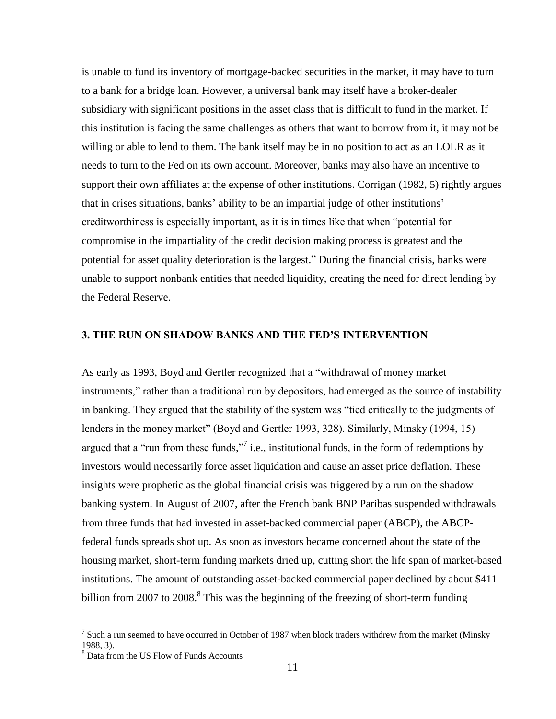is unable to fund its inventory of mortgage-backed securities in the market, it may have to turn to a bank for a bridge loan. However, a universal bank may itself have a broker-dealer subsidiary with significant positions in the asset class that is difficult to fund in the market. If this institution is facing the same challenges as others that want to borrow from it, it may not be willing or able to lend to them. The bank itself may be in no position to act as an LOLR as it needs to turn to the Fed on its own account. Moreover, banks may also have an incentive to support their own affiliates at the expense of other institutions. Corrigan (1982, 5) rightly argues that in crises situations, banks' ability to be an impartial judge of other institutions' creditworthiness is especially important, as it is in times like that when "potential for compromise in the impartiality of the credit decision making process is greatest and the potential for asset quality deterioration is the largest." During the financial crisis, banks were unable to support nonbank entities that needed liquidity, creating the need for direct lending by the Federal Reserve.

### **3. THE RUN ON SHADOW BANKS AND THE FED'S INTERVENTION**

As early as 1993, Boyd and Gertler recognized that a "withdrawal of money market instruments," rather than a traditional run by depositors, had emerged as the source of instability in banking. They argued that the stability of the system was "tied critically to the judgments of lenders in the money market" (Boyd and Gertler 1993, 328). Similarly, Minsky (1994, 15) argued that a "run from these funds,"<sup>7</sup> i.e., institutional funds, in the form of redemptions by investors would necessarily force asset liquidation and cause an asset price deflation. These insights were prophetic as the global financial crisis was triggered by a run on the shadow banking system. In August of 2007, after the French bank BNP Paribas suspended withdrawals from three funds that had invested in asset-backed commercial paper (ABCP), the ABCPfederal funds spreads shot up. As soon as investors became concerned about the state of the housing market, short-term funding markets dried up, cutting short the life span of market-based institutions. The amount of outstanding asset-backed commercial paper declined by about \$411 billion from 2007 to 2008.<sup>8</sup> This was the beginning of the freezing of short-term funding

l

<sup>&</sup>lt;sup>7</sup> Such a run seemed to have occurred in October of 1987 when block traders withdrew from the market (Minsky 1988, 3).

<sup>8</sup> Data from the US Flow of Funds Accounts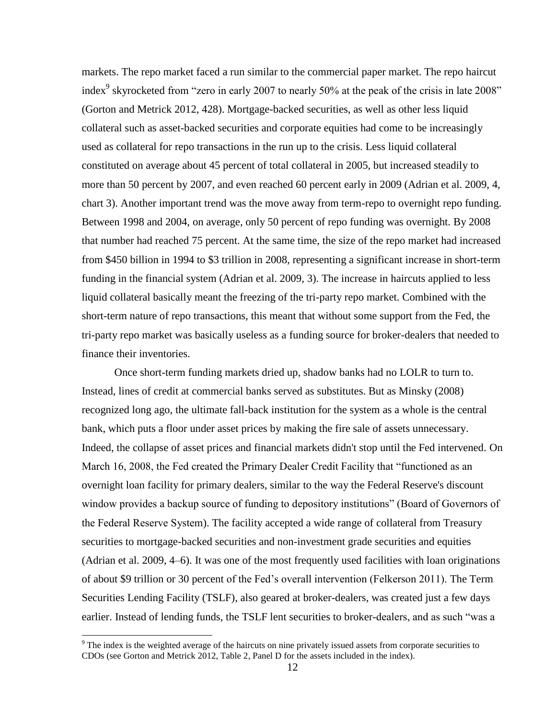markets. The repo market faced a run similar to the commercial paper market. The repo haircut index<sup>9</sup> skyrocketed from "zero in early 2007 to nearly 50% at the peak of the crisis in late 2008" (Gorton and Metrick 2012, 428). Mortgage-backed securities, as well as other less liquid collateral such as asset-backed securities and corporate equities had come to be increasingly used as collateral for repo transactions in the run up to the crisis. Less liquid collateral constituted on average about 45 percent of total collateral in 2005, but increased steadily to more than 50 percent by 2007, and even reached 60 percent early in 2009 (Adrian et al. 2009, 4, chart 3). Another important trend was the move away from term-repo to overnight repo funding. Between 1998 and 2004, on average, only 50 percent of repo funding was overnight. By 2008 that number had reached 75 percent. At the same time, the size of the repo market had increased from \$450 billion in 1994 to \$3 trillion in 2008, representing a significant increase in short-term funding in the financial system (Adrian et al. 2009, 3). The increase in haircuts applied to less liquid collateral basically meant the freezing of the tri-party repo market. Combined with the short-term nature of repo transactions, this meant that without some support from the Fed, the tri-party repo market was basically useless as a funding source for broker-dealers that needed to finance their inventories.

Once short-term funding markets dried up, shadow banks had no LOLR to turn to. Instead, lines of credit at commercial banks served as substitutes. But as Minsky (2008) recognized long ago, the ultimate fall-back institution for the system as a whole is the central bank, which puts a floor under asset prices by making the fire sale of assets unnecessary. Indeed, the collapse of asset prices and financial markets didn't stop until the Fed intervened. On March 16, 2008, the Fed created the Primary Dealer Credit Facility that "functioned as an overnight loan facility for primary dealers, similar to the way the Federal Reserve's discount window provides a backup source of funding to depository institutions" (Board of Governors of the Federal Reserve System). The facility accepted a wide range of collateral from Treasury securities to mortgage-backed securities and non-investment grade securities and equities (Adrian et al. 2009, 4–6). It was one of the most frequently used facilities with loan originations of about \$9 trillion or 30 percent of the Fed's overall intervention (Felkerson 2011). The Term Securities Lending Facility (TSLF), also geared at broker-dealers, was created just a few days earlier. Instead of lending funds, the TSLF lent securities to broker-dealers, and as such "was a

 $9<sup>9</sup>$  The index is the weighted average of the haircuts on nine privately issued assets from corporate securities to CDOs (see Gorton and Metrick 2012, Table 2, Panel D for the assets included in the index).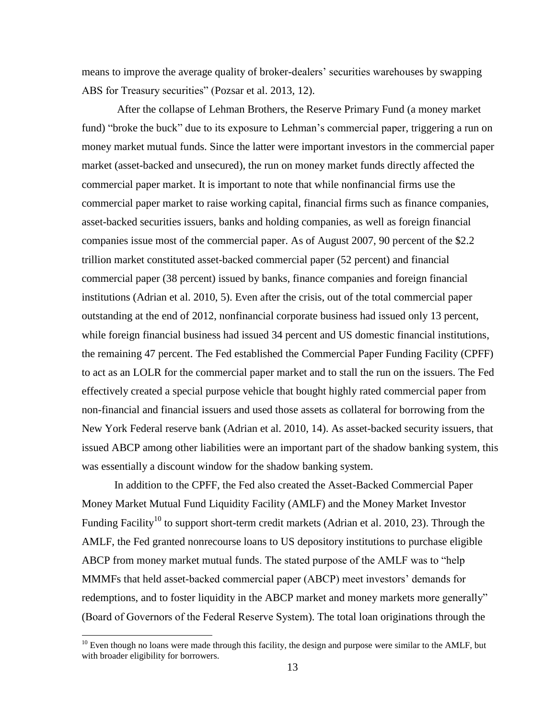means to improve the average quality of broker-dealers' securities warehouses by swapping ABS for Treasury securities" (Pozsar et al. 2013, 12).

After the collapse of Lehman Brothers, the Reserve Primary Fund (a money market fund) "broke the buck" due to its exposure to Lehman's commercial paper, triggering a run on money market mutual funds. Since the latter were important investors in the commercial paper market (asset-backed and unsecured), the run on money market funds directly affected the commercial paper market. It is important to note that while nonfinancial firms use the commercial paper market to raise working capital, financial firms such as finance companies, asset-backed securities issuers, banks and holding companies, as well as foreign financial companies issue most of the commercial paper. As of August 2007, 90 percent of the \$2.2 trillion market constituted asset-backed commercial paper (52 percent) and financial commercial paper (38 percent) issued by banks, finance companies and foreign financial institutions (Adrian et al. 2010, 5). Even after the crisis, out of the total commercial paper outstanding at the end of 2012, nonfinancial corporate business had issued only 13 percent, while foreign financial business had issued 34 percent and US domestic financial institutions, the remaining 47 percent. The Fed established the Commercial Paper Funding Facility (CPFF) to act as an LOLR for the commercial paper market and to stall the run on the issuers. The Fed effectively created a special purpose vehicle that bought highly rated commercial paper from non-financial and financial issuers and used those assets as collateral for borrowing from the New York Federal reserve bank (Adrian et al. 2010, 14). As asset-backed security issuers, that issued ABCP among other liabilities were an important part of the shadow banking system, this was essentially a discount window for the shadow banking system.

In addition to the CPFF, the Fed also created the Asset-Backed Commercial Paper Money Market Mutual Fund Liquidity Facility (AMLF) and the Money Market Investor Funding Facility<sup>10</sup> to support short-term credit markets (Adrian et al. 2010, 23). Through the AMLF, the Fed granted nonrecourse loans to US depository institutions to purchase eligible ABCP from money market mutual funds. The stated purpose of the AMLF was to "help MMMFs that held asset-backed commercial paper (ABCP) meet investors' demands for redemptions, and to foster liquidity in the ABCP market and [money markets](http://www.federalreserve.gov/newsevents/reform_glossary.htm#moneymarkets) more generally" (Board of Governors of the Federal Reserve System). The total loan originations through the

 $10$  Even though no loans were made through this facility, the design and purpose were similar to the AMLF, but with broader eligibility for borrowers.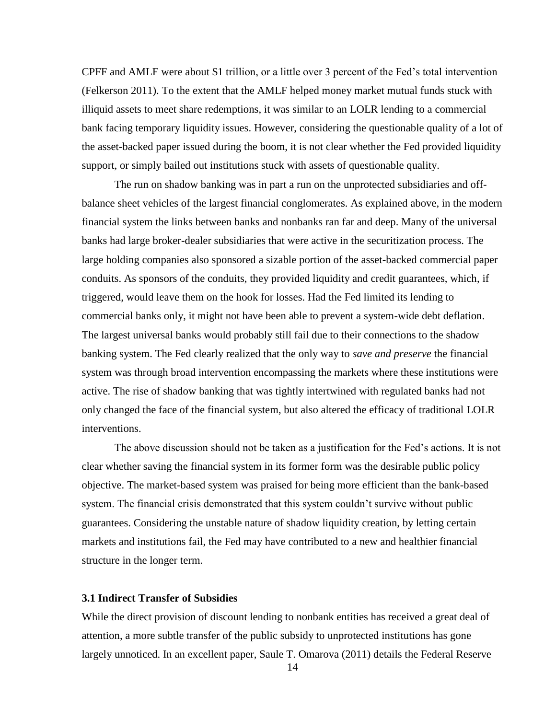CPFF and AMLF were about \$1 trillion, or a little over 3 percent of the Fed's total intervention (Felkerson 2011). To the extent that the AMLF helped money market mutual funds stuck with illiquid assets to meet share redemptions, it was similar to an LOLR lending to a commercial bank facing temporary liquidity issues. However, considering the questionable quality of a lot of the asset-backed paper issued during the boom, it is not clear whether the Fed provided liquidity support, or simply bailed out institutions stuck with assets of questionable quality.

The run on shadow banking was in part a run on the unprotected subsidiaries and offbalance sheet vehicles of the largest financial conglomerates. As explained above, in the modern financial system the links between banks and nonbanks ran far and deep. Many of the universal banks had large broker-dealer subsidiaries that were active in the securitization process. The large holding companies also sponsored a sizable portion of the asset-backed commercial paper conduits. As sponsors of the conduits, they provided liquidity and credit guarantees, which, if triggered, would leave them on the hook for losses. Had the Fed limited its lending to commercial banks only, it might not have been able to prevent a system-wide debt deflation. The largest universal banks would probably still fail due to their connections to the shadow banking system. The Fed clearly realized that the only way to *save and preserve* the financial system was through broad intervention encompassing the markets where these institutions were active. The rise of shadow banking that was tightly intertwined with regulated banks had not only changed the face of the financial system, but also altered the efficacy of traditional LOLR interventions.

The above discussion should not be taken as a justification for the Fed's actions. It is not clear whether saving the financial system in its former form was the desirable public policy objective. The market-based system was praised for being more efficient than the bank-based system. The financial crisis demonstrated that this system couldn't survive without public guarantees. Considering the unstable nature of shadow liquidity creation, by letting certain markets and institutions fail, the Fed may have contributed to a new and healthier financial structure in the longer term.

#### **3.1 Indirect Transfer of Subsidies**

While the direct provision of discount lending to nonbank entities has received a great deal of attention, a more subtle transfer of the public subsidy to unprotected institutions has gone largely unnoticed. In an excellent paper, Saule T. Omarova (2011) details the Federal Reserve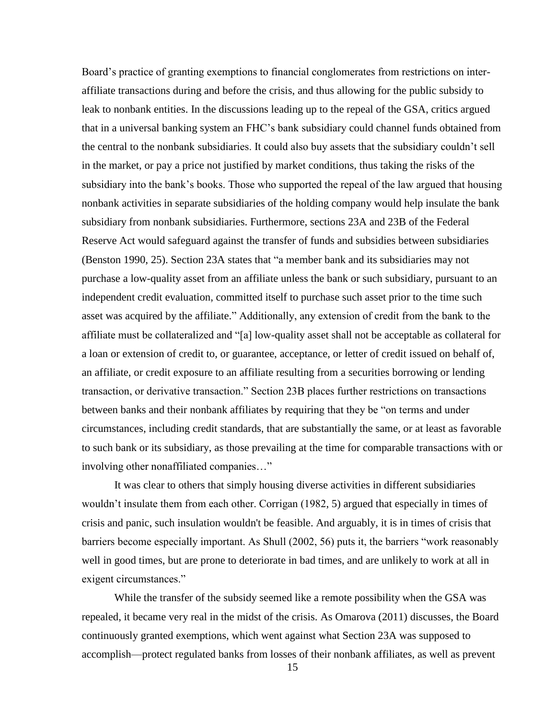Board's practice of granting exemptions to financial conglomerates from restrictions on interaffiliate transactions during and before the crisis, and thus allowing for the public subsidy to leak to nonbank entities. In the discussions leading up to the repeal of the GSA, critics argued that in a universal banking system an FHC's bank subsidiary could channel funds obtained from the central to the nonbank subsidiaries. It could also buy assets that the subsidiary couldn't sell in the market, or pay a price not justified by market conditions, thus taking the risks of the subsidiary into the bank's books. Those who supported the repeal of the law argued that housing nonbank activities in separate subsidiaries of the holding company would help insulate the bank subsidiary from nonbank subsidiaries. Furthermore, sections 23A and 23B of the Federal Reserve Act would safeguard against the transfer of funds and subsidies between subsidiaries (Benston 1990, 25). Section 23A states that "a member bank and its subsidiaries may not purchase a low-quality asset from an affiliate unless the bank or such subsidiary, pursuant to an independent credit evaluation, committed itself to purchase such asset prior to the time such asset was acquired by the affiliate." Additionally, any extension of credit from the bank to the affiliate must be collateralized and "[a] low-quality asset shall not be acceptable as collateral for a loan or extension of credit to, or guarantee, acceptance, or letter of credit issued on behalf of, an affiliate, or credit exposure to an affiliate resulting from a securities borrowing or lending transaction, or derivative transaction." Section 23B places further restrictions on transactions between banks and their nonbank affiliates by requiring that they be "on terms and under circumstances, including credit standards, that are substantially the same, or at least as favorable to such bank or its subsidiary, as those prevailing at the time for comparable transactions with or involving other nonaffiliated companies…"

It was clear to others that simply housing diverse activities in different subsidiaries wouldn't insulate them from each other. Corrigan (1982, 5) argued that especially in times of crisis and panic, such insulation wouldn't be feasible. And arguably, it is in times of crisis that barriers become especially important. As Shull (2002, 56) puts it, the barriers "work reasonably well in good times, but are prone to deteriorate in bad times, and are unlikely to work at all in exigent circumstances."

While the transfer of the subsidy seemed like a remote possibility when the GSA was repealed, it became very real in the midst of the crisis. As Omarova (2011) discusses, the Board continuously granted exemptions, which went against what Section 23A was supposed to accomplish—protect regulated banks from losses of their nonbank affiliates, as well as prevent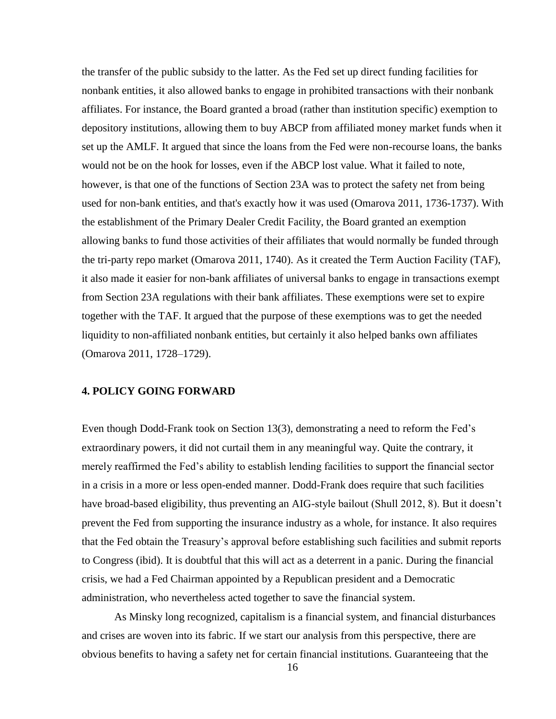the transfer of the public subsidy to the latter. As the Fed set up direct funding facilities for nonbank entities, it also allowed banks to engage in prohibited transactions with their nonbank affiliates. For instance, the Board granted a broad (rather than institution specific) exemption to depository institutions, allowing them to buy ABCP from affiliated money market funds when it set up the AMLF. It argued that since the loans from the Fed were non-recourse loans, the banks would not be on the hook for losses, even if the ABCP lost value. What it failed to note, however, is that one of the functions of Section 23A was to protect the safety net from being used for non-bank entities, and that's exactly how it was used (Omarova 2011, 1736-1737). With the establishment of the Primary Dealer Credit Facility, the Board granted an exemption allowing banks to fund those activities of their affiliates that would normally be funded through the tri-party repo market (Omarova 2011, 1740). As it created the Term Auction Facility (TAF), it also made it easier for non-bank affiliates of universal banks to engage in transactions exempt from Section 23A regulations with their bank affiliates. These exemptions were set to expire together with the TAF. It argued that the purpose of these exemptions was to get the needed liquidity to non-affiliated nonbank entities, but certainly it also helped banks own affiliates (Omarova 2011, 1728–1729).

#### **4. POLICY GOING FORWARD**

Even though Dodd-Frank took on Section 13(3), demonstrating a need to reform the Fed's extraordinary powers, it did not curtail them in any meaningful way. Quite the contrary, it merely reaffirmed the Fed's ability to establish lending facilities to support the financial sector in a crisis in a more or less open-ended manner. Dodd-Frank does require that such facilities have broad-based eligibility, thus preventing an AIG-style bailout (Shull 2012, 8). But it doesn't prevent the Fed from supporting the insurance industry as a whole, for instance. It also requires that the Fed obtain the Treasury's approval before establishing such facilities and submit reports to Congress (ibid). It is doubtful that this will act as a deterrent in a panic. During the financial crisis, we had a Fed Chairman appointed by a Republican president and a Democratic administration, who nevertheless acted together to save the financial system.

As Minsky long recognized, capitalism is a financial system, and financial disturbances and crises are woven into its fabric. If we start our analysis from this perspective, there are obvious benefits to having a safety net for certain financial institutions. Guaranteeing that the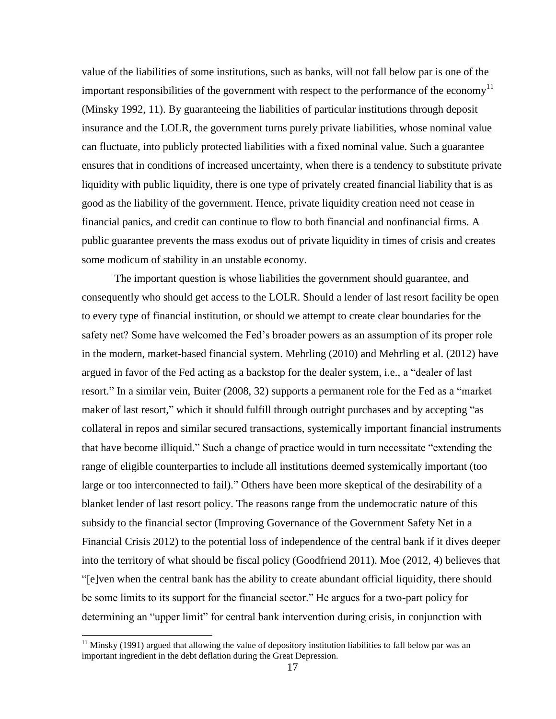value of the liabilities of some institutions, such as banks, will not fall below par is one of the important responsibilities of the government with respect to the performance of the economy<sup>11</sup> (Minsky 1992, 11). By guaranteeing the liabilities of particular institutions through deposit insurance and the LOLR, the government turns purely private liabilities, whose nominal value can fluctuate, into publicly protected liabilities with a fixed nominal value. Such a guarantee ensures that in conditions of increased uncertainty, when there is a tendency to substitute private liquidity with public liquidity, there is one type of privately created financial liability that is as good as the liability of the government. Hence, private liquidity creation need not cease in financial panics, and credit can continue to flow to both financial and nonfinancial firms. A public guarantee prevents the mass exodus out of private liquidity in times of crisis and creates some modicum of stability in an unstable economy.

The important question is whose liabilities the government should guarantee, and consequently who should get access to the LOLR. Should a lender of last resort facility be open to every type of financial institution, or should we attempt to create clear boundaries for the safety net? Some have welcomed the Fed's broader powers as an assumption of its proper role in the modern, market-based financial system. Mehrling (2010) and Mehrling et al. (2012) have argued in favor of the Fed acting as a backstop for the dealer system, i.e., a "dealer of last resort." In a similar vein, Buiter (2008, 32) supports a permanent role for the Fed as a "market maker of last resort," which it should fulfill through outright purchases and by accepting "as collateral in repos and similar secured transactions, systemically important financial instruments that have become illiquid." Such a change of practice would in turn necessitate "extending the range of eligible counterparties to include all institutions deemed systemically important (too large or too interconnected to fail)." Others have been more skeptical of the desirability of a blanket lender of last resort policy. The reasons range from the undemocratic nature of this subsidy to the financial sector (Improving Governance of the Government Safety Net in a Financial Crisis 2012) to the potential loss of independence of the central bank if it dives deeper into the territory of what should be fiscal policy (Goodfriend 2011). Moe (2012, 4) believes that "[e]ven when the central bank has the ability to create abundant official liquidity, there should be some limits to its support for the financial sector." He argues for a two-part policy for determining an "upper limit" for central bank intervention during crisis, in conjunction with

 $11$  Minsky (1991) argued that allowing the value of depository institution liabilities to fall below par was an important ingredient in the debt deflation during the Great Depression.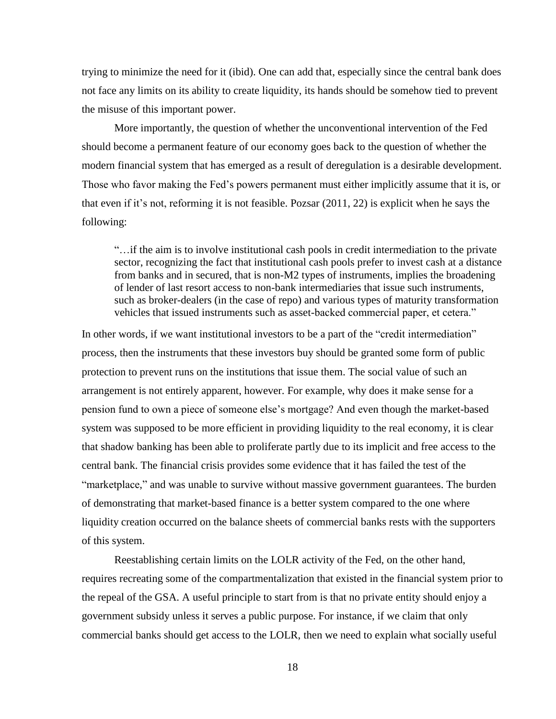trying to minimize the need for it (ibid). One can add that, especially since the central bank does not face any limits on its ability to create liquidity, its hands should be somehow tied to prevent the misuse of this important power.

More importantly, the question of whether the unconventional intervention of the Fed should become a permanent feature of our economy goes back to the question of whether the modern financial system that has emerged as a result of deregulation is a desirable development. Those who favor making the Fed's powers permanent must either implicitly assume that it is, or that even if it's not, reforming it is not feasible. Pozsar (2011, 22) is explicit when he says the following:

"…if the aim is to involve institutional cash pools in credit intermediation to the private sector, recognizing the fact that institutional cash pools prefer to invest cash at a distance from banks and in secured, that is non-M2 types of instruments, implies the broadening of lender of last resort access to non-bank intermediaries that issue such instruments, such as broker-dealers (in the case of repo) and various types of maturity transformation vehicles that issued instruments such as asset-backed commercial paper, et cetera."

In other words, if we want institutional investors to be a part of the "credit intermediation" process, then the instruments that these investors buy should be granted some form of public protection to prevent runs on the institutions that issue them. The social value of such an arrangement is not entirely apparent, however. For example, why does it make sense for a pension fund to own a piece of someone else's mortgage? And even though the market-based system was supposed to be more efficient in providing liquidity to the real economy, it is clear that shadow banking has been able to proliferate partly due to its implicit and free access to the central bank. The financial crisis provides some evidence that it has failed the test of the "marketplace," and was unable to survive without massive government guarantees. The burden of demonstrating that market-based finance is a better system compared to the one where liquidity creation occurred on the balance sheets of commercial banks rests with the supporters of this system.

Reestablishing certain limits on the LOLR activity of the Fed, on the other hand, requires recreating some of the compartmentalization that existed in the financial system prior to the repeal of the GSA. A useful principle to start from is that no private entity should enjoy a government subsidy unless it serves a public purpose. For instance, if we claim that only commercial banks should get access to the LOLR, then we need to explain what socially useful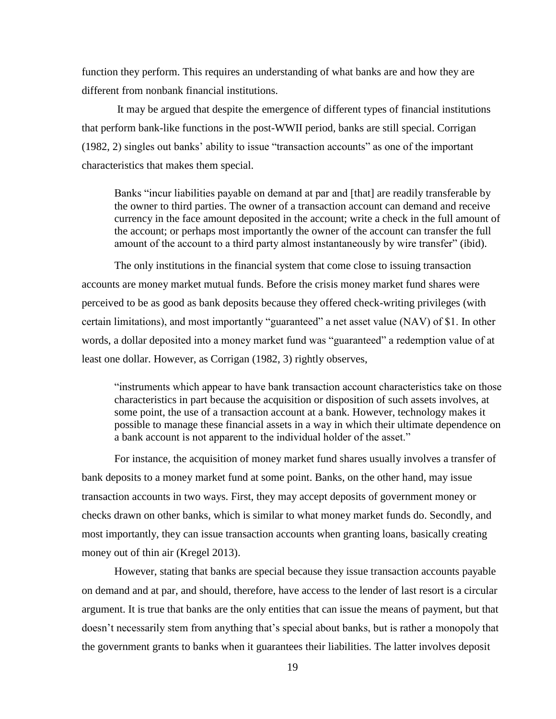function they perform. This requires an understanding of what banks are and how they are different from nonbank financial institutions.

It may be argued that despite the emergence of different types of financial institutions that perform bank-like functions in the post-WWII period, banks are still special. Corrigan (1982, 2) singles out banks' ability to issue "transaction accounts" as one of the important characteristics that makes them special.

Banks "incur liabilities payable on demand at par and [that] are readily transferable by the owner to third parties. The owner of a transaction account can demand and receive currency in the face amount deposited in the account; write a check in the full amount of the account; or perhaps most importantly the owner of the account can transfer the full amount of the account to a third party almost instantaneously by wire transfer" (ibid).

The only institutions in the financial system that come close to issuing transaction accounts are money market mutual funds. Before the crisis money market fund shares were perceived to be as good as bank deposits because they offered check-writing privileges (with certain limitations), and most importantly "guaranteed" a net asset value (NAV) of \$1. In other words, a dollar deposited into a money market fund was "guaranteed" a redemption value of at least one dollar. However, as Corrigan (1982, 3) rightly observes,

"instruments which appear to have bank transaction account characteristics take on those characteristics in part because the acquisition or disposition of such assets involves, at some point, the use of a transaction account at a bank. However, technology makes it possible to manage these financial assets in a way in which their ultimate dependence on a bank account is not apparent to the individual holder of the asset."

For instance, the acquisition of money market fund shares usually involves a transfer of bank deposits to a money market fund at some point. Banks, on the other hand, may issue transaction accounts in two ways. First, they may accept deposits of government money or checks drawn on other banks, which is similar to what money market funds do. Secondly, and most importantly, they can issue transaction accounts when granting loans, basically creating money out of thin air (Kregel 2013).

However, stating that banks are special because they issue transaction accounts payable on demand and at par, and should, therefore, have access to the lender of last resort is a circular argument. It is true that banks are the only entities that can issue the means of payment, but that doesn't necessarily stem from anything that's special about banks, but is rather a monopoly that the government grants to banks when it guarantees their liabilities. The latter involves deposit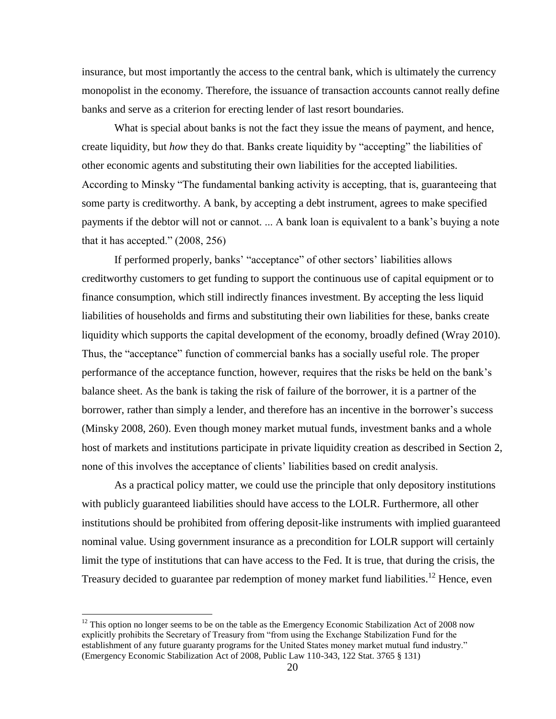insurance, but most importantly the access to the central bank, which is ultimately the currency monopolist in the economy. Therefore, the issuance of transaction accounts cannot really define banks and serve as a criterion for erecting lender of last resort boundaries.

What is special about banks is not the fact they issue the means of payment, and hence, create liquidity, but *how* they do that. Banks create liquidity by "accepting" the liabilities of other economic agents and substituting their own liabilities for the accepted liabilities. According to Minsky "The fundamental banking activity is accepting, that is, guaranteeing that some party is creditworthy. A bank, by accepting a debt instrument, agrees to make specified payments if the debtor will not or cannot. ... A bank loan is equivalent to a bank's buying a note that it has accepted." (2008, 256)

If performed properly, banks' "acceptance" of other sectors' liabilities allows creditworthy customers to get funding to support the continuous use of capital equipment or to finance consumption, which still indirectly finances investment. By accepting the less liquid liabilities of households and firms and substituting their own liabilities for these, banks create liquidity which supports the capital development of the economy, broadly defined (Wray 2010). Thus, the "acceptance" function of commercial banks has a socially useful role. The proper performance of the acceptance function, however, requires that the risks be held on the bank's balance sheet. As the bank is taking the risk of failure of the borrower, it is a partner of the borrower, rather than simply a lender, and therefore has an incentive in the borrower's success (Minsky 2008, 260). Even though money market mutual funds, investment banks and a whole host of markets and institutions participate in private liquidity creation as described in Section 2, none of this involves the acceptance of clients' liabilities based on credit analysis.

As a practical policy matter, we could use the principle that only depository institutions with publicly guaranteed liabilities should have access to the LOLR. Furthermore, all other institutions should be prohibited from offering deposit-like instruments with implied guaranteed nominal value. Using government insurance as a precondition for LOLR support will certainly limit the type of institutions that can have access to the Fed. It is true, that during the crisis, the Treasury decided to guarantee par redemption of money market fund liabilities.<sup>12</sup> Hence, even

 $12$  This option no longer seems to be on the table as the Emergency Economic Stabilization Act of 2008 now explicitly prohibits the Secretary of Treasury from "from using the Exchange Stabilization Fund for the establishment of any future guaranty programs for the United States money market mutual fund industry." (Emergency Economic Stabilization Act of 2008, Public Law 110-343, 122 Stat. 3765 § 131)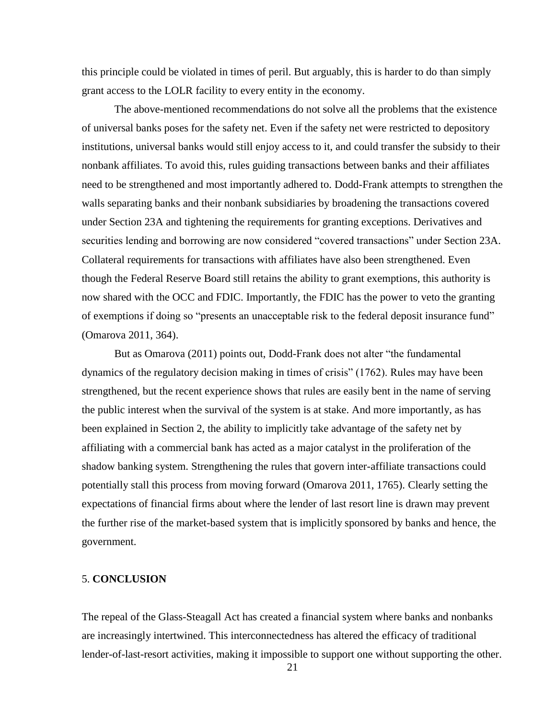this principle could be violated in times of peril. But arguably, this is harder to do than simply grant access to the LOLR facility to every entity in the economy.

The above-mentioned recommendations do not solve all the problems that the existence of universal banks poses for the safety net. Even if the safety net were restricted to depository institutions, universal banks would still enjoy access to it, and could transfer the subsidy to their nonbank affiliates. To avoid this, rules guiding transactions between banks and their affiliates need to be strengthened and most importantly adhered to. Dodd-Frank attempts to strengthen the walls separating banks and their nonbank subsidiaries by broadening the transactions covered under Section 23A and tightening the requirements for granting exceptions. Derivatives and securities lending and borrowing are now considered "covered transactions" under Section 23A. Collateral requirements for transactions with affiliates have also been strengthened. Even though the Federal Reserve Board still retains the ability to grant exemptions, this authority is now shared with the OCC and FDIC. Importantly, the FDIC has the power to veto the granting of exemptions if doing so "presents an unacceptable risk to the federal deposit insurance fund" (Omarova 2011, 364).

But as Omarova (2011) points out, Dodd-Frank does not alter "the fundamental dynamics of the regulatory decision making in times of crisis" (1762). Rules may have been strengthened, but the recent experience shows that rules are easily bent in the name of serving the public interest when the survival of the system is at stake. And more importantly, as has been explained in Section 2, the ability to implicitly take advantage of the safety net by affiliating with a commercial bank has acted as a major catalyst in the proliferation of the shadow banking system. Strengthening the rules that govern inter-affiliate transactions could potentially stall this process from moving forward (Omarova 2011, 1765). Clearly setting the expectations of financial firms about where the lender of last resort line is drawn may prevent the further rise of the market-based system that is implicitly sponsored by banks and hence, the government.

## 5. **CONCLUSION**

The repeal of the Glass-Steagall Act has created a financial system where banks and nonbanks are increasingly intertwined. This interconnectedness has altered the efficacy of traditional lender-of-last-resort activities, making it impossible to support one without supporting the other.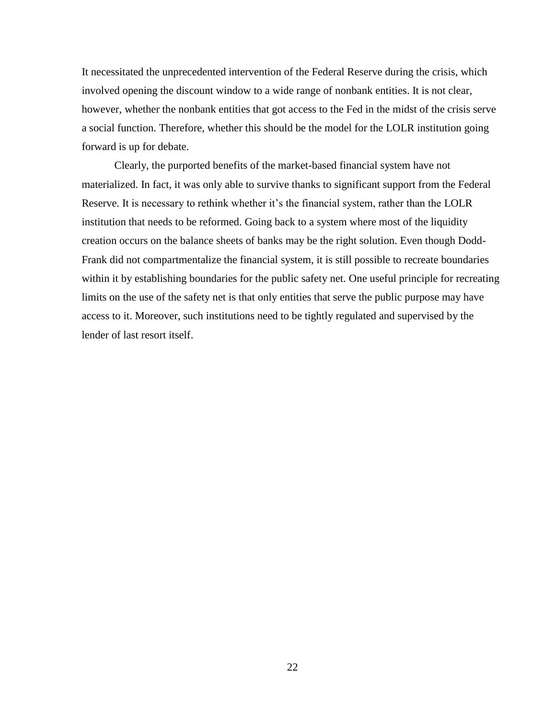It necessitated the unprecedented intervention of the Federal Reserve during the crisis, which involved opening the discount window to a wide range of nonbank entities. It is not clear, however, whether the nonbank entities that got access to the Fed in the midst of the crisis serve a social function. Therefore, whether this should be the model for the LOLR institution going forward is up for debate.

Clearly, the purported benefits of the market-based financial system have not materialized. In fact, it was only able to survive thanks to significant support from the Federal Reserve. It is necessary to rethink whether it's the financial system, rather than the LOLR institution that needs to be reformed. Going back to a system where most of the liquidity creation occurs on the balance sheets of banks may be the right solution. Even though Dodd-Frank did not compartmentalize the financial system, it is still possible to recreate boundaries within it by establishing boundaries for the public safety net. One useful principle for recreating limits on the use of the safety net is that only entities that serve the public purpose may have access to it. Moreover, such institutions need to be tightly regulated and supervised by the lender of last resort itself.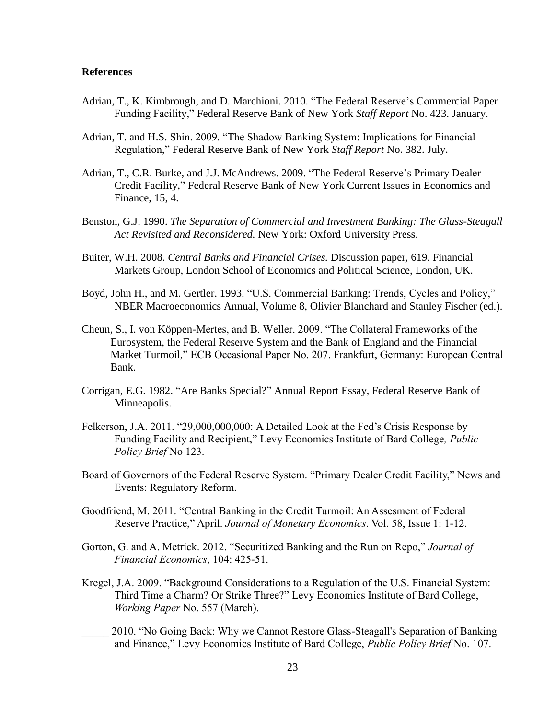#### **References**

- Adrian, T., K. Kimbrough, and D. Marchioni. 2010. "The Federal Reserve's Commercial Paper Funding Facility," Federal Reserve Bank of New York *Staff Report* No. 423. January.
- Adrian, T. and H.S. Shin. 2009. "The Shadow Banking System: Implications for Financial Regulation," Federal Reserve Bank of New York *Staff Report* No. 382. July.
- Adrian, T., C.R. Burke, and J.J. McAndrews. 2009. "The Federal Reserve's Primary Dealer Credit Facility," Federal Reserve Bank of New York Current Issues in Economics and Finance, 15, 4.
- Benston, G.J. 1990. *The Separation of Commercial and Investment Banking: The Glass-Steagall Act Revisited and Reconsidered.* New York: Oxford University Press.
- Buiter, W.H. 2008. *Central Banks and Financial Crises.* Discussion paper, 619. Financial Markets Group, London School of Economics and Political Science, London, UK.
- Boyd, John H., and M. Gertler. 1993. "U.S. Commercial Banking: Trends, Cycles and Policy," NBER Macroeconomics Annual, Volume 8, Olivier Blanchard and Stanley Fischer (ed.).
- Cheun, S., I. von Köppen-Mertes, and B. Weller. 2009. "The Collateral Frameworks of the Eurosystem, the Federal Reserve System and the Bank of England and the Financial Market Turmoil," ECB Occasional Paper No. 207. Frankfurt, Germany: European Central Bank.
- Corrigan, E.G. 1982. "Are Banks Special?" Annual Report Essay, Federal Reserve Bank of Minneapolis.
- Felkerson, J.A. 2011. "29,000,000,000: A Detailed Look at the Fed's Crisis Response by Funding Facility and Recipient," Levy Economics Institute of Bard College*, Public Policy Brief* No 123.
- Board of Governors of the Federal Reserve System. "Primary Dealer Credit Facility," News and Events: Regulatory Reform.
- Goodfriend, M. 2011. "Central Banking in the Credit Turmoil: An Assesment of Federal Reserve Practice," April. *Journal of Monetary Economics*. Vol. 58, Issue 1: 1-12.
- Gorton, G. and A. Metrick. 2012. "Securitized Banking and the Run on Repo," *Journal of Financial Economics*, 104: 425-51.
- Kregel, J.A. 2009. "Background Considerations to a Regulation of the U.S. Financial System: Third Time a Charm? Or Strike Three?" Levy Economics Institute of Bard College, *Working Paper* No. 557 (March).
- 2010. "No Going Back: Why we Cannot Restore Glass-Steagall's Separation of Banking and Finance," Levy Economics Institute of Bard College, *Public Policy Brief* No. 107.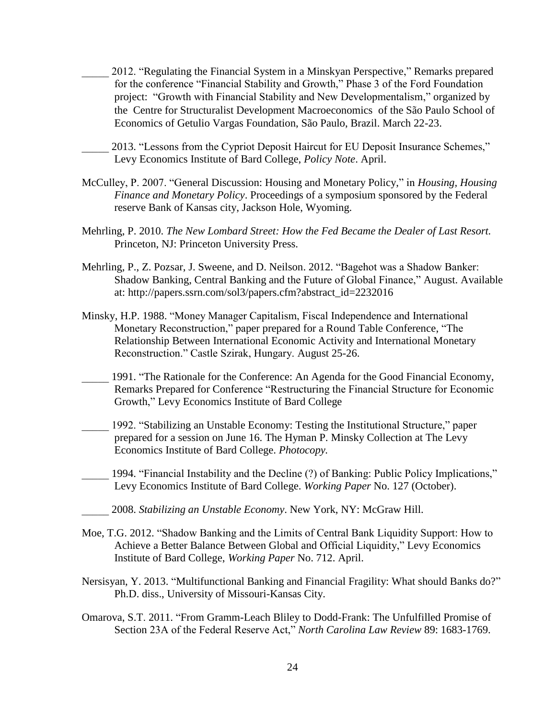- \_\_\_\_\_ 2012. "Regulating the Financial System in a Minskyan Perspective," Remarks prepared for the conference "Financial Stability and Growth," Phase 3 of the Ford Foundation project: "Growth with Financial Stability and New Developmentalism," organized by the Centre for Structuralist Development Macroeconomics of the São Paulo School of Economics of Getulio Vargas Foundation, São Paulo, Brazil. March 22-23.
- \_\_\_\_\_ 2013. "Lessons from the Cypriot Deposit Haircut for EU Deposit Insurance Schemes," Levy Economics Institute of Bard College, *Policy Note*. April.
- McCulley, P. 2007. "General Discussion: Housing and Monetary Policy," in *Housing, Housing Finance and Monetary Policy*. Proceedings of a symposium sponsored by the Federal reserve Bank of Kansas city, Jackson Hole, Wyoming.
- Mehrling, P. 2010. *The New Lombard Street: How the Fed Became the Dealer of Last Resort.*  Princeton, NJ: Princeton University Press.
- Mehrling, P., Z. Pozsar, J. Sweene, and D. Neilson. 2012. "Bagehot was a Shadow Banker: Shadow Banking, Central Banking and the Future of Global Finance," August. Available at: http://papers.ssrn.com/sol3/papers.cfm?abstract\_id=2232016
- Minsky, H.P. 1988. "Money Manager Capitalism, Fiscal Independence and International Monetary Reconstruction," paper prepared for a Round Table Conference, "The Relationship Between International Economic Activity and International Monetary Reconstruction." Castle Szirak, Hungary. August 25-26.
- \_\_\_\_\_ 1991. "The Rationale for the Conference: An Agenda for the Good Financial Economy, Remarks Prepared for Conference "Restructuring the Financial Structure for Economic Growth," Levy Economics Institute of Bard College
- 1992. "Stabilizing an Unstable Economy: Testing the Institutional Structure," paper prepared for a session on June 16. The Hyman P. Minsky Collection at The Levy Economics Institute of Bard College. *Photocopy.*
- \_\_\_\_\_ 1994. "Financial Instability and the Decline (?) of Banking: Public Policy Implications," Levy Economics Institute of Bard College. *Working Paper* No. 127 (October).
	- \_\_\_\_\_ 2008. *Stabilizing an Unstable Economy*. New York, NY: McGraw Hill.
- Moe, T.G. 2012. "Shadow Banking and the Limits of Central Bank Liquidity Support: How to Achieve a Better Balance Between Global and Official Liquidity," Levy Economics Institute of Bard College, *Working Paper* No. 712. April.
- Nersisyan, Y. 2013. "Multifunctional Banking and Financial Fragility: What should Banks do?" Ph.D. diss., University of Missouri-Kansas City.
- Omarova, S.T. 2011. "From Gramm-Leach Bliley to Dodd-Frank: The Unfulfilled Promise of Section 23A of the Federal Reserve Act," *North Carolina Law Review* 89: 1683-1769.